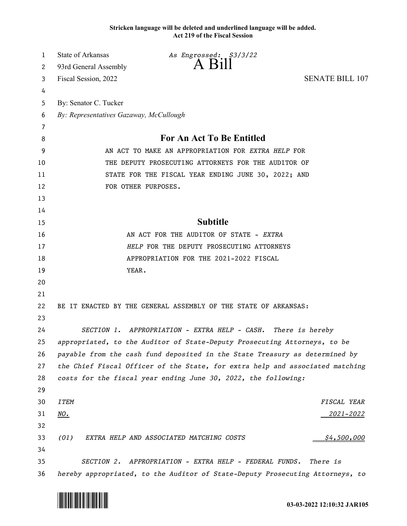**Stricken language will be deleted and underlined language will be added. Act 219 of the Fiscal Session**

| 1  | <b>State of Arkansas</b>                            | As Engrossed: \$3/3/22                                                        |                        |
|----|-----------------------------------------------------|-------------------------------------------------------------------------------|------------------------|
| 2  | 93rd General Assembly                               | $A$ Bill                                                                      |                        |
| 3  | Fiscal Session, 2022                                |                                                                               | <b>SENATE BILL 107</b> |
| 4  |                                                     |                                                                               |                        |
| 5  | By: Senator C. Tucker                               |                                                                               |                        |
| 6  | By: Representatives Gazaway, McCullough             |                                                                               |                        |
| 7  |                                                     |                                                                               |                        |
| 8  | For An Act To Be Entitled                           |                                                                               |                        |
| 9  | AN ACT TO MAKE AN APPROPRIATION FOR EXTRA HELP FOR  |                                                                               |                        |
| 10 | THE DEPUTY PROSECUTING ATTORNEYS FOR THE AUDITOR OF |                                                                               |                        |
| 11 | STATE FOR THE FISCAL YEAR ENDING JUNE 30, 2022; AND |                                                                               |                        |
| 12 |                                                     | FOR OTHER PURPOSES.                                                           |                        |
| 13 |                                                     |                                                                               |                        |
| 14 |                                                     |                                                                               |                        |
| 15 |                                                     | <b>Subtitle</b>                                                               |                        |
| 16 |                                                     | AN ACT FOR THE AUDITOR OF STATE - EXTRA                                       |                        |
| 17 |                                                     | HELP FOR THE DEPUTY PROSECUTING ATTORNEYS                                     |                        |
| 18 |                                                     | APPROPRIATION FOR THE 2021-2022 FISCAL                                        |                        |
| 19 | YEAR.                                               |                                                                               |                        |
| 20 |                                                     |                                                                               |                        |
| 21 |                                                     |                                                                               |                        |
| 22 |                                                     | BE IT ENACTED BY THE GENERAL ASSEMBLY OF THE STATE OF ARKANSAS:               |                        |
| 23 |                                                     |                                                                               |                        |
| 24 |                                                     | SECTION 1. APPROPRIATION - EXTRA HELP - CASH. There is hereby                 |                        |
| 25 |                                                     | appropriated, to the Auditor of State-Deputy Prosecuting Attorneys, to be     |                        |
| 26 |                                                     | payable from the cash fund deposited in the State Treasury as determined by   |                        |
| 27 |                                                     | the Chief Fiscal Officer of the State, for extra help and associated matching |                        |
| 28 |                                                     | costs for the fiscal year ending June 30, 2022, the following:                |                        |
| 29 |                                                     |                                                                               |                        |
| 30 | <b>ITEM</b>                                         |                                                                               | FISCAL YEAR            |
| 31 | NO.                                                 |                                                                               | <u> 2021–2022</u>      |
| 32 |                                                     |                                                                               |                        |
| 33 | (01)                                                | EXTRA HELP AND ASSOCIATED MATCHING COSTS                                      | \$4,500,000            |
| 34 |                                                     |                                                                               |                        |
| 35 |                                                     | SECTION 2. APPROPRIATION - EXTRA HELP - FEDERAL FUNDS.                        | There is               |
| 36 |                                                     | hereby appropriated, to the Auditor of State-Deputy Prosecuting Attorneys, to |                        |

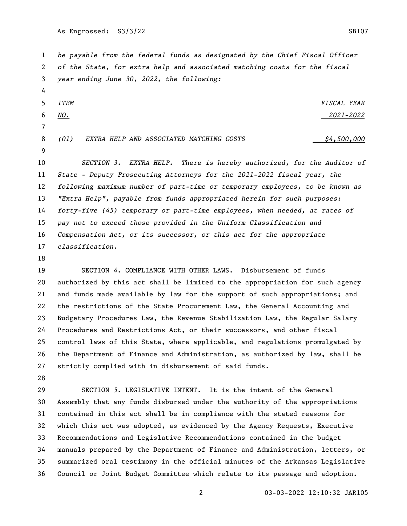As Engrossed: S3/3/22 SB107

 *be payable from the federal funds as designated by the Chief Fiscal Officer of the State, for extra help and associated matching costs for the fiscal year ending June 30, 2022, the following:*

 *ITEM FISCAL YEAR NO. 2021-2022 (01) EXTRA HELP AND ASSOCIATED MATCHING COSTS \$4,500,000* 

 *SECTION 3. EXTRA HELP. There is hereby authorized, for the Auditor of State - Deputy Prosecuting Attorneys for the 2021-2022 fiscal year, the following maximum number of part-time or temporary employees, to be known as "Extra Help", payable from funds appropriated herein for such purposes: forty-five (45) temporary or part-time employees, when needed, at rates of pay not to exceed those provided in the Uniform Classification and Compensation Act, or its successor, or this act for the appropriate classification*.

 SECTION *4*. COMPLIANCE WITH OTHER LAWS. Disbursement of funds authorized by this act shall be limited to the appropriation for such agency and funds made available by law for the support of such appropriations; and the restrictions of the State Procurement Law, the General Accounting and Budgetary Procedures Law, the Revenue Stabilization Law, the Regular Salary Procedures and Restrictions Act, or their successors, and other fiscal control laws of this State, where applicable, and regulations promulgated by the Department of Finance and Administration, as authorized by law, shall be strictly complied with in disbursement of said funds.

 SECTION *5*. LEGISLATIVE INTENT. It is the intent of the General Assembly that any funds disbursed under the authority of the appropriations contained in this act shall be in compliance with the stated reasons for which this act was adopted, as evidenced by the Agency Requests, Executive Recommendations and Legislative Recommendations contained in the budget manuals prepared by the Department of Finance and Administration, letters, or summarized oral testimony in the official minutes of the Arkansas Legislative Council or Joint Budget Committee which relate to its passage and adoption.

03-03-2022 12:10:32 JAR105